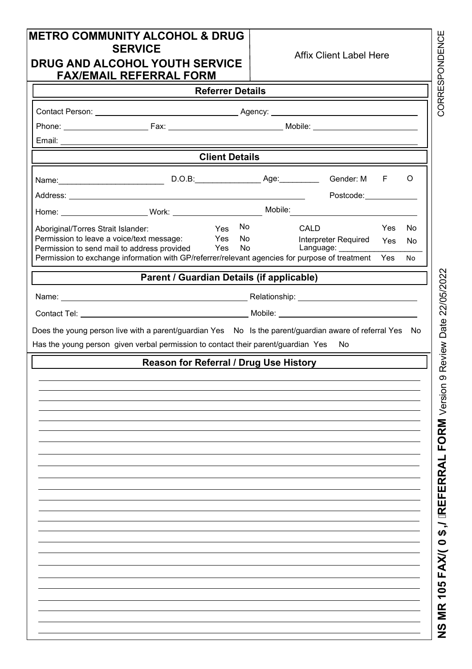| <b>METRO COMMUNITY ALCOHOL &amp; DRUG</b><br>DRUG AND ALCOHOL YOUTH SERVICE<br><b>FAX/EMAIL REFERRAL FORM</b> | <b>SERVICE</b>                            |                         |          | <b>Affix Client Label Here</b>            |     |           |
|---------------------------------------------------------------------------------------------------------------|-------------------------------------------|-------------------------|----------|-------------------------------------------|-----|-----------|
|                                                                                                               |                                           | <b>Referrer Details</b> |          |                                           |     |           |
|                                                                                                               |                                           |                         |          |                                           |     |           |
|                                                                                                               |                                           |                         |          |                                           |     |           |
|                                                                                                               |                                           |                         |          |                                           |     |           |
|                                                                                                               |                                           | <b>Client Details</b>   |          |                                           |     |           |
|                                                                                                               |                                           |                         |          | Gender: M                                 | F   | O         |
|                                                                                                               |                                           |                         |          | Postcode: and the postcode:               |     |           |
|                                                                                                               |                                           |                         |          |                                           |     |           |
| Aboriginal/Torres Strait Islander:                                                                            |                                           | Yes                     | No       | CALD                                      | Yes | No.       |
| Permission to leave a voice/text message:<br>Permission to send mail to address provided Yes                  |                                           | Yes                     | No<br>No | Interpreter Required<br>Language: _______ | Yes | <b>No</b> |
| Permission to exchange information with GP/referrer/relevant agencies for purpose of treatment Yes            |                                           |                         |          |                                           |     | <b>No</b> |
|                                                                                                               | Parent / Guardian Details (if applicable) |                         |          |                                           |     |           |
|                                                                                                               |                                           |                         |          |                                           |     |           |
|                                                                                                               |                                           |                         |          |                                           |     |           |
|                                                                                                               | Reason for Referral / Drug Use History    |                         |          |                                           |     |           |
|                                                                                                               |                                           |                         |          |                                           |     |           |
|                                                                                                               |                                           |                         |          |                                           |     |           |
|                                                                                                               |                                           |                         |          |                                           |     |           |
|                                                                                                               |                                           |                         |          |                                           |     |           |
|                                                                                                               |                                           |                         |          |                                           |     |           |
|                                                                                                               |                                           |                         |          |                                           |     |           |
|                                                                                                               |                                           |                         |          |                                           |     |           |
|                                                                                                               |                                           |                         |          |                                           |     |           |
|                                                                                                               |                                           |                         |          |                                           |     |           |
|                                                                                                               |                                           |                         |          |                                           |     |           |
|                                                                                                               |                                           |                         |          |                                           |     |           |
|                                                                                                               |                                           |                         |          |                                           |     |           |
|                                                                                                               |                                           |                         |          |                                           |     |           |
|                                                                                                               |                                           |                         |          |                                           |     |           |
|                                                                                                               |                                           |                         |          |                                           |     |           |
|                                                                                                               |                                           |                         |          |                                           |     |           |
|                                                                                                               |                                           |                         |          |                                           |     |           |

**NS MR 105 FAX/(0\$,/REFERRAL FORM** Version ග Review Date 22/05/2022